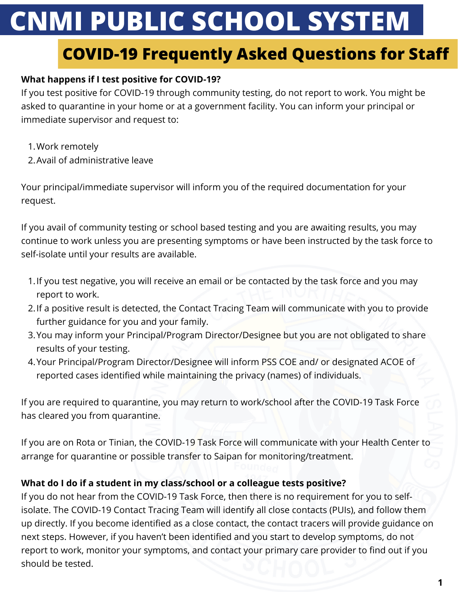# **CNMI PUBLIC SCHOOL SYSTEM**

# **COVID-19 Frequently Asked Questions for Staff**

# **What happens if I test positive for COVID-19?**

If you test positive for COVID-19 through community testing, do not report to work. You might be asked to quarantine in your home or at a government facility. You can inform your principal or immediate supervisor and request to:

- Work remotely 1.
- Avail of administrative leave 2.

Your principal/immediate supervisor will inform you of the required documentation for your request.

If you avail of community testing or school based testing and you are awaiting results, you may continue to work unless you are presenting symptoms or have been instructed by the task force to self-isolate until your results are available.

- 1. If you test negative, you will receive an email or be contacted by the task force and you may report to work.
- 2. If a positive result is detected, the Contact Tracing Team will communicate with you to provide further guidance for you and your family.
- 3. You may inform your Principal/Program Director/Designee but you are not obligated to share results of your testing.
- Your Principal/Program Director/Designee will inform PSS COE and/ or designated ACOE of 4. reported cases identified while maintaining the privacy (names) of individuals.

If you are required to quarantine, you may return to work/school after the COVID-19 Task Force has cleared you from quarantine.

If you are on Rota or Tinian, the COVID-19 Task Force will communicate with your Health Center to arrange for quarantine or possible transfer to Saipan for monitoring/treatment.

## **What do I do if a student in my class/school or a colleague tests positive?**

If you do not hear from the COVID-19 Task Force, then there is no requirement for you to selfisolate. The COVID-19 Contact Tracing Team will identify all close contacts (PUIs), and follow them up directly. If you become identified as a close contact, the contact tracers will provide guidance on next steps. However, if you haven't been identified and you start to develop symptoms, do not report to work, monitor your symptoms, and contact your primary care provider to find out if you should be tested.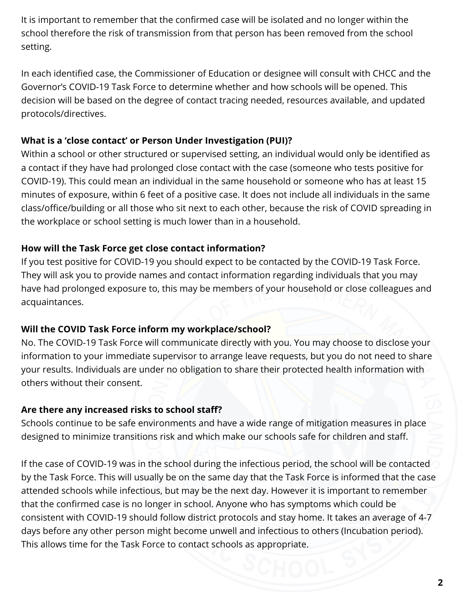It is important to remember that the confirmed case will be isolated and no longer within the school therefore the risk of transmission from that person has been removed from the school setting.

In each identified case, the Commissioner of Education or designee will consult with CHCC and the Governor's COVID-19 Task Force to determine whether and how schools will be opened. This decision will be based on the degree of contact tracing needed, resources available, and updated protocols/directives.

# **What is a 'close contact' or Person Under Investigation (PUI)?**

Within a school or other structured or supervised setting, an individual would only be identified as a contact if they have had prolonged close contact with the case (someone who tests positive for COVID-19). This could mean an individual in the same household or someone who has at least 15 minutes of exposure, within 6 feet of a positive case. It does not include all individuals in the same class/office/building or all those who sit next to each other, because the risk of COVID spreading in the workplace or school setting is much lower than in a household.

## **How will the Task Force get close contact information?**

If you test positive for COVID-19 you should expect to be contacted by the COVID-19 Task Force. They will ask you to provide names and contact information regarding individuals that you may have had prolonged exposure to, this may be members of your household or close colleagues and acquaintances.

## **Will the COVID Task Force inform my workplace/school?**

No. The COVID-19 Task Force will communicate directly with you. You may choose to disclose your information to your immediate supervisor to arrange leave requests, but you do not need to share your results. Individuals are under no obligation to share their protected health information with others without their consent.

# **Are there any increased risks to school staff?**

Schools continue to be safe environments and have a wide range of mitigation measures in place designed to minimize transitions risk and which make our schools safe for children and staff.

If the case of COVID-19 was in the school during the infectious period, the school will be contacted by the Task Force. This will usually be on the same day that the Task Force is informed that the case attended schools while infectious, but may be the next day. However it is important to remember that the confirmed case is no longer in school. Anyone who has symptoms which could be consistent with COVID-19 should follow district protocols and stay home. It takes an average of 4-7 days before any other person might become unwell and infectious to others (Incubation period). This allows time for the Task Force to contact schools as appropriate.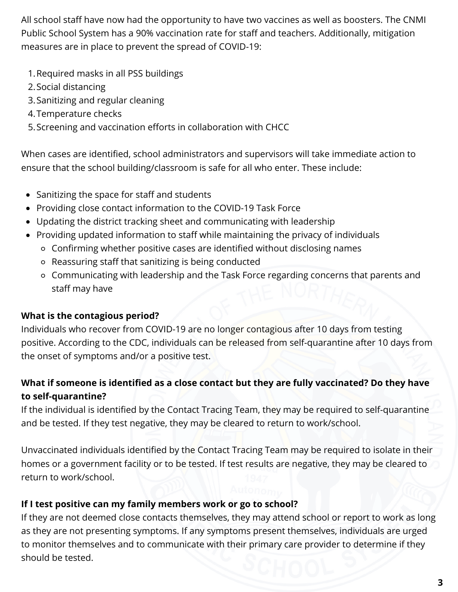All school staff have now had the opportunity to have two vaccines as well as boosters. The CNMI Public School System has a 90% vaccination rate for staff and teachers. Additionally, mitigation measures are in place to prevent the spread of COVID-19:

- 1.Required masks in all PSS buildings
- 2. Social distancing
- Sanitizing and regular cleaning 3.
- 4.Temperature checks
- Screening and vaccination efforts in collaboration with CHCC 5.

When cases are identified, school administrators and supervisors will take immediate action to ensure that the school building/classroom is safe for all who enter. These include:

- Sanitizing the space for staff and students
- Providing close contact information to the COVID-19 Task Force
- Updating the district tracking sheet and communicating with leadership
- Providing updated information to staff while maintaining the privacy of individuals
	- Confirming whether positive cases are identified without disclosing names
	- Reassuring staff that sanitizing is being conducted
	- Communicating with leadership and the Task Force regarding concerns that parents and staff may have

# **What is the contagious period?**

Individuals who recover from COVID-19 are no longer contagious after 10 days from testing positive. According to the CDC, individuals can be released from self-quarantine after 10 days from the onset of symptoms and/or a positive test.

# **What if someone is identified as a close contact but they are fully vaccinated? Do they have to self-quarantine?**

If the individual is identified by the Contact Tracing Team, they may be required to self-quarantine and be tested. If they test negative, they may be cleared to return to work/school.

Unvaccinated individuals identified by the Contact Tracing Team may be required to isolate in their homes or a government facility or to be tested. If test results are negative, they may be cleared to return to work/school.

# **If I test positive can my family members work or go to school?**

If they are not deemed close contacts themselves, they may attend school or report to work as long as they are not presenting symptoms. If any symptoms present themselves, individuals are urged to monitor themselves and to communicate with their primary care provider to determine if they should be tested.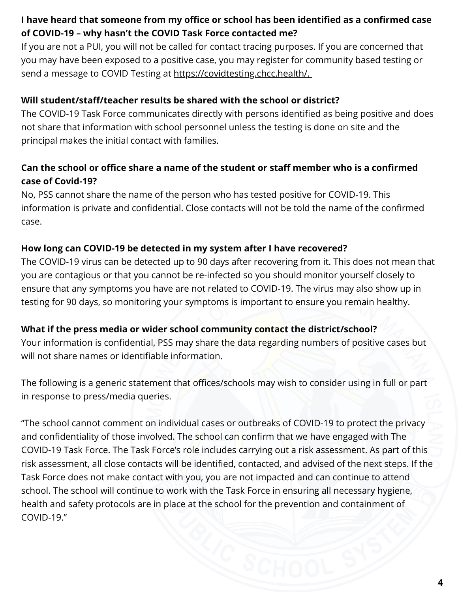# **I have heard that someone from my office or school has been identified as a confirmed case of COVID-19 – why hasn't the COVID Task Force contacted me?**

If you are not a PUI, you will not be called for contact tracing purposes. If you are concerned that you may have been exposed to a positive case, you may register for community based testing or send a message to COVID Testing at [https://covidtesting.chcc.health/.](https://covidtesting.chcc.health/)

## **Will student/staff/teacher results be shared with the school or district?**

The COVID-19 Task Force communicates directly with persons identified as being positive and does not share that information with school personnel unless the testing is done on site and the principal makes the initial contact with families.

# **Can the school or office share a name of the student or staff member who is a confirmed case of Covid-19?**

No, PSS cannot share the name of the person who has tested positive for COVID-19. This information is private and confidential. Close contacts will not be told the name of the confirmed case.

#### **How long can COVID-19 be detected in my system after I have recovered?**

The COVID-19 virus can be detected up to 90 days after recovering from it. This does not mean that you are contagious or that you cannot be re-infected so you should monitor yourself closely to ensure that any symptoms you have are not related to COVID-19. The virus may also show up in testing for 90 days, so monitoring your symptoms is important to ensure you remain healthy.

#### **What if the press media or wider school community contact the district/school?**

Your information is confidential, PSS may share the data regarding numbers of positive cases but will not share names or identifiable information.

The following is a generic statement that offices/schools may wish to consider using in full or part in response to press/media queries.

"The school cannot comment on individual cases or outbreaks of COVID-19 to protect the privacy and confidentiality of those involved. The school can confirm that we have engaged with The COVID-19 Task Force. The Task Force's role includes carrying out a risk assessment. As part of this risk assessment, all close contacts will be identified, contacted, and advised of the next steps. If the Task Force does not make contact with you, you are not impacted and can continue to attend school. The school will continue to work with the Task Force in ensuring all necessary hygiene, health and safety protocols are in place at the school for the prevention and containment of COVID-19."